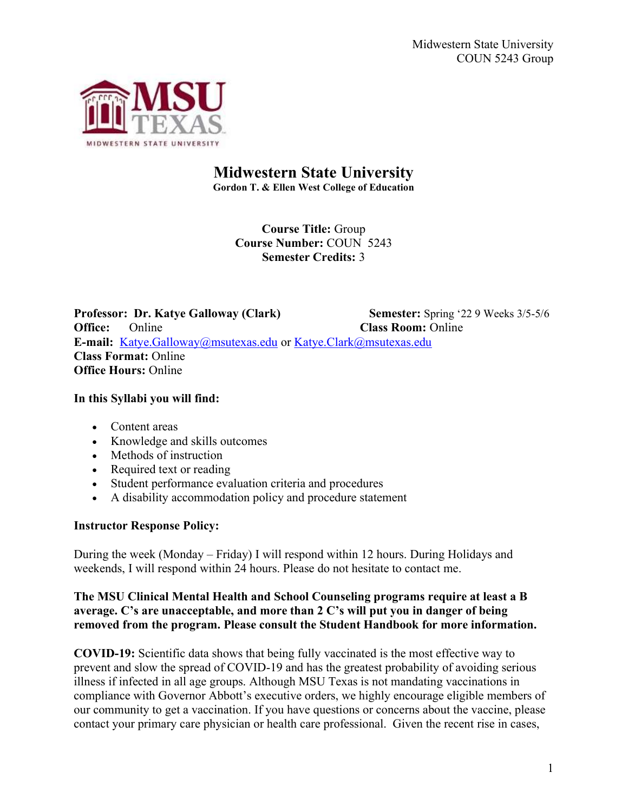

# Midwestern State University

Gordon T. & Ellen West College of Education

Course Title: Group Course Number: COUN 5243 Semester Credits: 3

Professor: Dr. Katye Galloway (Clark) Semester: Spring '22 9 Weeks 3/5-5/6 **Office:** Online Class Room: Online E-mail: Katye.Galloway@msutexas.edu or Katye.Clark@msutexas.edu Class Format: Online Office Hours: Online

### In this Syllabi you will find:

- Content areas
- Knowledge and skills outcomes
- Methods of instruction
- Required text or reading
- Student performance evaluation criteria and procedures
- A disability accommodation policy and procedure statement

#### Instructor Response Policy:

During the week (Monday – Friday) I will respond within 12 hours. During Holidays and weekends, I will respond within 24 hours. Please do not hesitate to contact me.

### The MSU Clinical Mental Health and School Counseling programs require at least a B average. C's are unacceptable, and more than 2 C's will put you in danger of being removed from the program. Please consult the Student Handbook for more information.

COVID-19: Scientific data shows that being fully vaccinated is the most effective way to prevent and slow the spread of COVID-19 and has the greatest probability of avoiding serious illness if infected in all age groups. Although MSU Texas is not mandating vaccinations in compliance with Governor Abbott's executive orders, we highly encourage eligible members of our community to get a vaccination. If you have questions or concerns about the vaccine, please contact your primary care physician or health care professional. Given the recent rise in cases,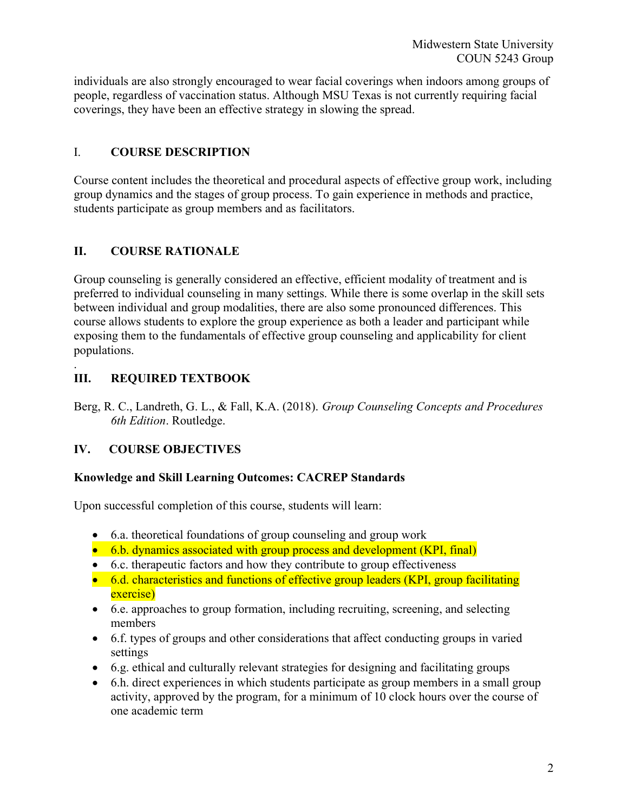individuals are also strongly encouraged to wear facial coverings when indoors among groups of people, regardless of vaccination status. Although MSU Texas is not currently requiring facial coverings, they have been an effective strategy in slowing the spread.

# I. COURSE DESCRIPTION

Course content includes the theoretical and procedural aspects of effective group work, including group dynamics and the stages of group process. To gain experience in methods and practice, students participate as group members and as facilitators.

# II. COURSE RATIONALE

Group counseling is generally considered an effective, efficient modality of treatment and is preferred to individual counseling in many settings. While there is some overlap in the skill sets between individual and group modalities, there are also some pronounced differences. This course allows students to explore the group experience as both a leader and participant while exposing them to the fundamentals of effective group counseling and applicability for client populations.

#### . III. REQUIRED TEXTBOOK

Berg, R. C., Landreth, G. L., & Fall, K.A. (2018). Group Counseling Concepts and Procedures 6th Edition. Routledge.

# IV. COURSE OBJECTIVES

# Knowledge and Skill Learning Outcomes: CACREP Standards

Upon successful completion of this course, students will learn:

- 6.a. theoretical foundations of group counseling and group work
- 6.b. dynamics associated with group process and development (KPI, final)
- 6.c. therapeutic factors and how they contribute to group effectiveness
- 6.d. characteristics and functions of effective group leaders (KPI, group facilitating exercise)
- 6.e. approaches to group formation, including recruiting, screening, and selecting members
- 6.f. types of groups and other considerations that affect conducting groups in varied settings
- 6.g. ethical and culturally relevant strategies for designing and facilitating groups
- 6.h. direct experiences in which students participate as group members in a small group activity, approved by the program, for a minimum of 10 clock hours over the course of one academic term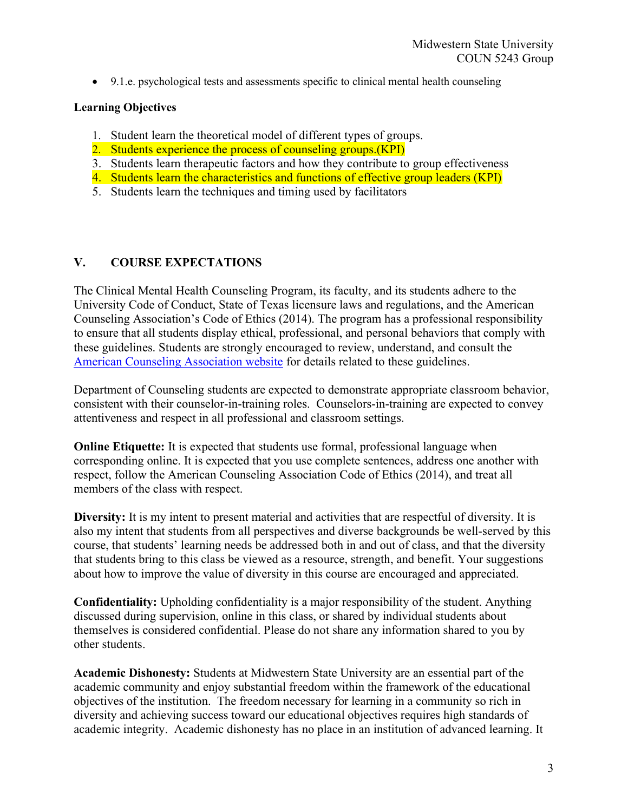9.1.e. psychological tests and assessments specific to clinical mental health counseling

### Learning Objectives

- 1. Student learn the theoretical model of different types of groups.
- 2. Students experience the process of counseling groups. (KPI)
- 3. Students learn therapeutic factors and how they contribute to group effectiveness
- 4. Students learn the characteristics and functions of effective group leaders (KPI)
- 5. Students learn the techniques and timing used by facilitators

# V. COURSE EXPECTATIONS

The Clinical Mental Health Counseling Program, its faculty, and its students adhere to the University Code of Conduct, State of Texas licensure laws and regulations, and the American Counseling Association's Code of Ethics (2014). The program has a professional responsibility to ensure that all students display ethical, professional, and personal behaviors that comply with these guidelines. Students are strongly encouraged to review, understand, and consult the American Counseling Association website for details related to these guidelines.

Department of Counseling students are expected to demonstrate appropriate classroom behavior, consistent with their counselor-in-training roles. Counselors-in-training are expected to convey attentiveness and respect in all professional and classroom settings.

Online Etiquette: It is expected that students use formal, professional language when corresponding online. It is expected that you use complete sentences, address one another with respect, follow the American Counseling Association Code of Ethics (2014), and treat all members of the class with respect.

Diversity: It is my intent to present material and activities that are respectful of diversity. It is also my intent that students from all perspectives and diverse backgrounds be well-served by this course, that students' learning needs be addressed both in and out of class, and that the diversity that students bring to this class be viewed as a resource, strength, and benefit. Your suggestions about how to improve the value of diversity in this course are encouraged and appreciated.

Confidentiality: Upholding confidentiality is a major responsibility of the student. Anything discussed during supervision, online in this class, or shared by individual students about themselves is considered confidential. Please do not share any information shared to you by other students.

Academic Dishonesty: Students at Midwestern State University are an essential part of the academic community and enjoy substantial freedom within the framework of the educational objectives of the institution. The freedom necessary for learning in a community so rich in diversity and achieving success toward our educational objectives requires high standards of academic integrity. Academic dishonesty has no place in an institution of advanced learning. It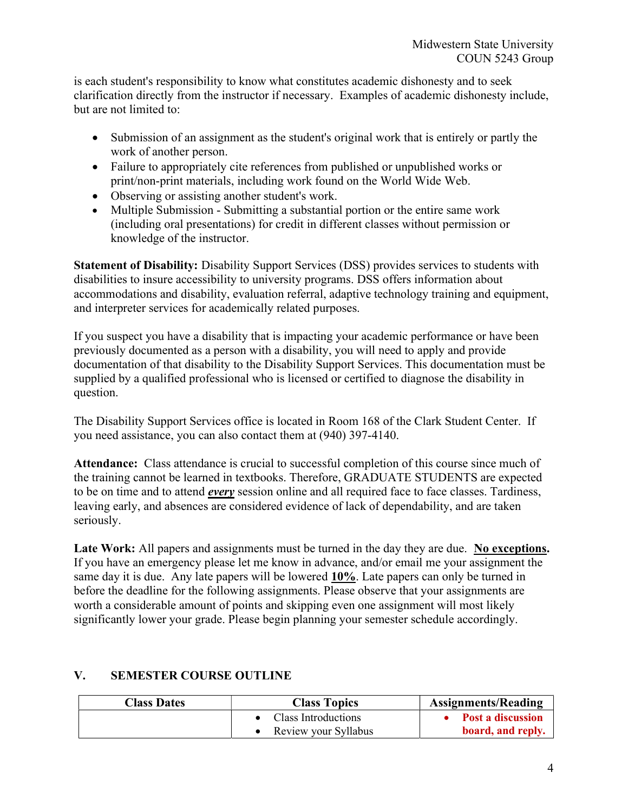is each student's responsibility to know what constitutes academic dishonesty and to seek clarification directly from the instructor if necessary. Examples of academic dishonesty include, but are not limited to:

- Submission of an assignment as the student's original work that is entirely or partly the work of another person.
- Failure to appropriately cite references from published or unpublished works or print/non-print materials, including work found on the World Wide Web.
- Observing or assisting another student's work.
- Multiple Submission Submitting a substantial portion or the entire same work (including oral presentations) for credit in different classes without permission or knowledge of the instructor.

Statement of Disability: Disability Support Services (DSS) provides services to students with disabilities to insure accessibility to university programs. DSS offers information about accommodations and disability, evaluation referral, adaptive technology training and equipment, and interpreter services for academically related purposes.

If you suspect you have a disability that is impacting your academic performance or have been previously documented as a person with a disability, you will need to apply and provide documentation of that disability to the Disability Support Services. This documentation must be supplied by a qualified professional who is licensed or certified to diagnose the disability in question.

The Disability Support Services office is located in Room 168 of the Clark Student Center. If you need assistance, you can also contact them at (940) 397-4140.

Attendance: Class attendance is crucial to successful completion of this course since much of the training cannot be learned in textbooks. Therefore, GRADUATE STUDENTS are expected to be on time and to attend *every* session online and all required face to face classes. Tardiness, leaving early, and absences are considered evidence of lack of dependability, and are taken seriously.

Late Work: All papers and assignments must be turned in the day they are due. No exceptions. If you have an emergency please let me know in advance, and/or email me your assignment the same day it is due. Any late papers will be lowered 10%. Late papers can only be turned in before the deadline for the following assignments. Please observe that your assignments are worth a considerable amount of points and skipping even one assignment will most likely significantly lower your grade. Please begin planning your semester schedule accordingly.

| <b>Class Dates</b> | <b>Class Topics</b>  | <b>Assignments/Reading</b> |
|--------------------|----------------------|----------------------------|
|                    | Class Introductions  | Post a discussion          |
|                    | Review your Syllabus | board, and reply.          |

# V. SEMESTER COURSE OUTLINE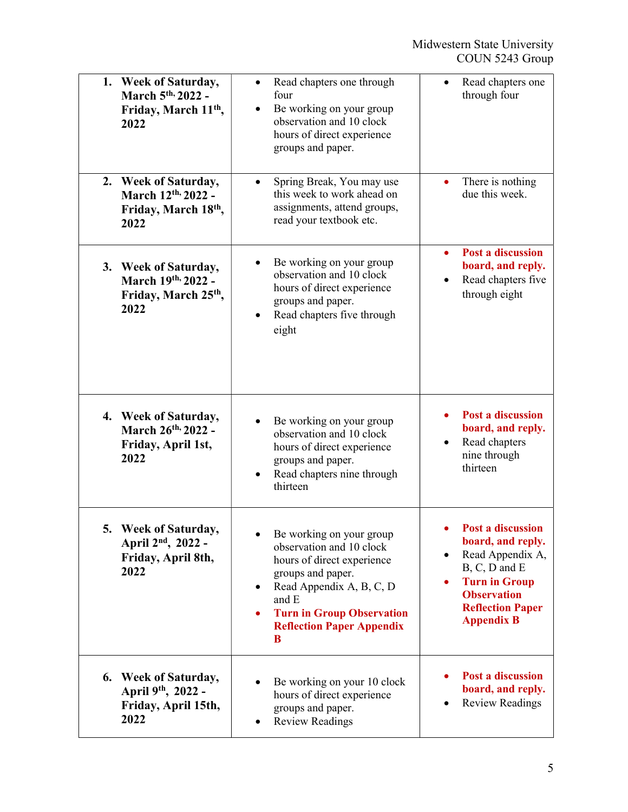| 1. Week of Saturday,<br>March 5 <sup>th,</sup> 2022 -<br>Friday, March 11 <sup>th</sup> ,<br>2022 | Read chapters one through<br>four<br>Be working on your group<br>observation and 10 clock<br>hours of direct experience<br>groups and paper.                                                                                   | Read chapters one<br>through four                                                                                                                                                      |
|---------------------------------------------------------------------------------------------------|--------------------------------------------------------------------------------------------------------------------------------------------------------------------------------------------------------------------------------|----------------------------------------------------------------------------------------------------------------------------------------------------------------------------------------|
| 2. Week of Saturday,<br>March 12th, 2022 -<br>Friday, March 18th,<br>2022                         | Spring Break, You may use<br>this week to work ahead on<br>assignments, attend groups,<br>read your textbook etc.                                                                                                              | There is nothing<br>due this week.                                                                                                                                                     |
| 3. Week of Saturday,<br>March 19th, 2022 -<br>Friday, March 25 <sup>th</sup> ,<br>2022            | Be working on your group<br>observation and 10 clock<br>hours of direct experience<br>groups and paper.<br>Read chapters five through<br>eight                                                                                 | Post a discussion<br>board, and reply.<br>Read chapters five<br>through eight                                                                                                          |
| 4. Week of Saturday,<br>March 26th, 2022 -<br>Friday, April 1st,<br>2022                          | Be working on your group<br>observation and 10 clock<br>hours of direct experience<br>groups and paper.<br>Read chapters nine through<br>thirteen                                                                              | Post a discussion<br>board, and reply.<br>Read chapters<br>nine through<br>thirteen                                                                                                    |
| Week of Saturday,<br>April 2 <sup>nd</sup> , 2022 -<br>Friday, April 8th,<br>2022                 | Be working on your group<br>observation and 10 clock<br>hours of direct experience<br>groups and paper.<br>Read Appendix A, B, C, D<br>٠<br>and E<br><b>Turn in Group Observation</b><br><b>Reflection Paper Appendix</b><br>B | Post a discussion<br>board, and reply.<br>Read Appendix A,<br>$\bullet$<br>B, C, D and E<br><b>Turn in Group</b><br><b>Observation</b><br><b>Reflection Paper</b><br><b>Appendix B</b> |
| 6.<br><b>Week of Saturday,</b><br>April 9th, 2022 -<br>Friday, April 15th,<br>2022                | Be working on your 10 clock<br>hours of direct experience<br>groups and paper.<br><b>Review Readings</b>                                                                                                                       | Post a discussion<br>board, and reply.<br><b>Review Readings</b>                                                                                                                       |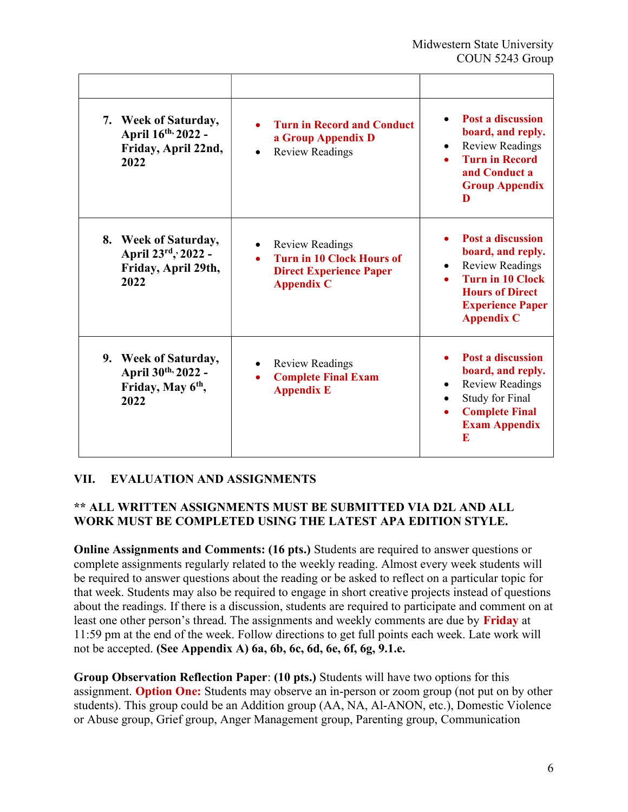| 7. Week of Saturday,<br>April 16th, 2022 -<br>Friday, April 22nd,<br>2022           | <b>Turn in Record and Conduct</b><br>a Group Appendix D<br><b>Review Readings</b>                                 | <b>Post a discussion</b><br>board, and reply.<br><b>Review Readings</b><br><b>Turn in Record</b><br>and Conduct a<br><b>Group Appendix</b><br>D                                           |
|-------------------------------------------------------------------------------------|-------------------------------------------------------------------------------------------------------------------|-------------------------------------------------------------------------------------------------------------------------------------------------------------------------------------------|
| 8. Week of Saturday,<br>April 23rd, 2022 -<br>Friday, April 29th,<br>2022           | <b>Review Readings</b><br><b>Turn in 10 Clock Hours of</b><br><b>Direct Experience Paper</b><br><b>Appendix C</b> | <b>Post a discussion</b><br>board, and reply.<br><b>Review Readings</b><br>$\bullet$<br><b>Turn in 10 Clock</b><br><b>Hours of Direct</b><br><b>Experience Paper</b><br><b>Appendix C</b> |
| 9. Week of Saturday,<br>April 30th, 2022 -<br>Friday, May 6 <sup>th</sup> ,<br>2022 | <b>Review Readings</b><br><b>Complete Final Exam</b><br><b>Appendix E</b>                                         | Post a discussion<br>board, and reply.<br><b>Review Readings</b><br><b>Study for Final</b><br><b>Complete Final</b><br><b>Exam Appendix</b><br>E                                          |

# VII. EVALUATION AND ASSIGNMENTS

# \*\* ALL WRITTEN ASSIGNMENTS MUST BE SUBMITTED VIA D2L AND ALL WORK MUST BE COMPLETED USING THE LATEST APA EDITION STYLE.

Online Assignments and Comments: (16 pts.) Students are required to answer questions or complete assignments regularly related to the weekly reading. Almost every week students will be required to answer questions about the reading or be asked to reflect on a particular topic for that week. Students may also be required to engage in short creative projects instead of questions about the readings. If there is a discussion, students are required to participate and comment on at least one other person's thread. The assignments and weekly comments are due by Friday at 11:59 pm at the end of the week. Follow directions to get full points each week. Late work will not be accepted. (See Appendix A) 6a, 6b, 6c, 6d, 6e, 6f, 6g, 9.1.e.

Group Observation Reflection Paper: (10 pts.) Students will have two options for this assignment. **Option One:** Students may observe an in-person or zoom group (not put on by other students). This group could be an Addition group (AA, NA, Al-ANON, etc.), Domestic Violence or Abuse group, Grief group, Anger Management group, Parenting group, Communication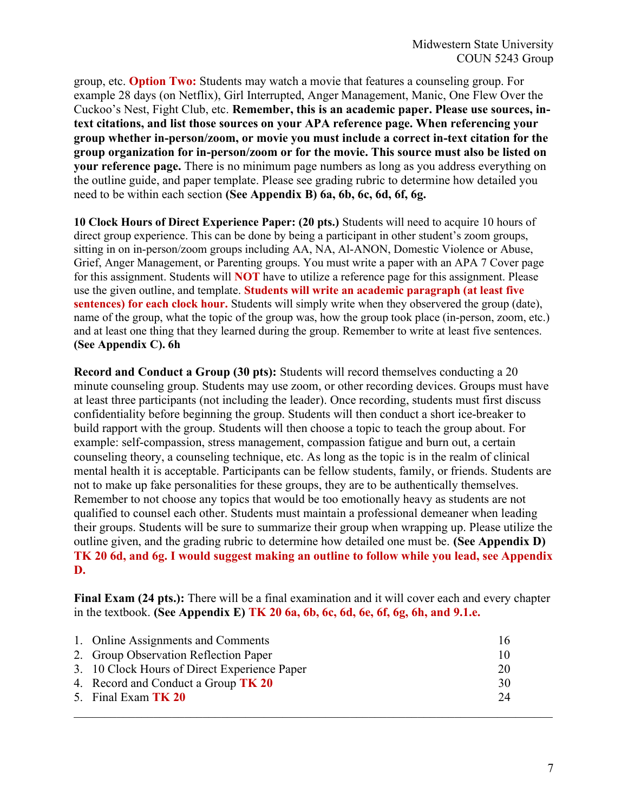group, etc. Option Two: Students may watch a movie that features a counseling group. For example 28 days (on Netflix), Girl Interrupted, Anger Management, Manic, One Flew Over the Cuckoo's Nest, Fight Club, etc. Remember, this is an academic paper. Please use sources, intext citations, and list those sources on your APA reference page. When referencing your group whether in-person/zoom, or movie you must include a correct in-text citation for the group organization for in-person/zoom or for the movie. This source must also be listed on your reference page. There is no minimum page numbers as long as you address everything on the outline guide, and paper template. Please see grading rubric to determine how detailed you need to be within each section (See Appendix B) 6a, 6b, 6c, 6d, 6f, 6g.

10 Clock Hours of Direct Experience Paper: (20 pts.) Students will need to acquire 10 hours of direct group experience. This can be done by being a participant in other student's zoom groups, sitting in on in-person/zoom groups including AA, NA, Al-ANON, Domestic Violence or Abuse, Grief, Anger Management, or Parenting groups. You must write a paper with an APA 7 Cover page for this assignment. Students will **NOT** have to utilize a reference page for this assignment. Please use the given outline, and template. Students will write an academic paragraph (at least five sentences) for each clock hour. Students will simply write when they observered the group (date), name of the group, what the topic of the group was, how the group took place (in-person, zoom, etc.) and at least one thing that they learned during the group. Remember to write at least five sentences. (See Appendix C). 6h

Record and Conduct a Group (30 pts): Students will record themselves conducting a 20 minute counseling group. Students may use zoom, or other recording devices. Groups must have at least three participants (not including the leader). Once recording, students must first discuss confidentiality before beginning the group. Students will then conduct a short ice-breaker to build rapport with the group. Students will then choose a topic to teach the group about. For example: self-compassion, stress management, compassion fatigue and burn out, a certain counseling theory, a counseling technique, etc. As long as the topic is in the realm of clinical mental health it is acceptable. Participants can be fellow students, family, or friends. Students are not to make up fake personalities for these groups, they are to be authentically themselves. Remember to not choose any topics that would be too emotionally heavy as students are not qualified to counsel each other. Students must maintain a professional demeaner when leading their groups. Students will be sure to summarize their group when wrapping up. Please utilize the outline given, and the grading rubric to determine how detailed one must be. (See Appendix D) TK 20 6d, and 6g. I would suggest making an outline to follow while you lead, see Appendix D.

Final Exam (24 pts.): There will be a final examination and it will cover each and every chapter in the textbook. (See Appendix E) TK 20 6a, 6b, 6c, 6d, 6e, 6f, 6g, 6h, and 9.1.e.

| 1. Online Assignments and Comments           | 16 |
|----------------------------------------------|----|
| 2. Group Observation Reflection Paper        | 10 |
| 3. 10 Clock Hours of Direct Experience Paper | 20 |
| 4. Record and Conduct a Group TK 20          | 30 |
| 5. Final Exam TK 20                          | 24 |
|                                              |    |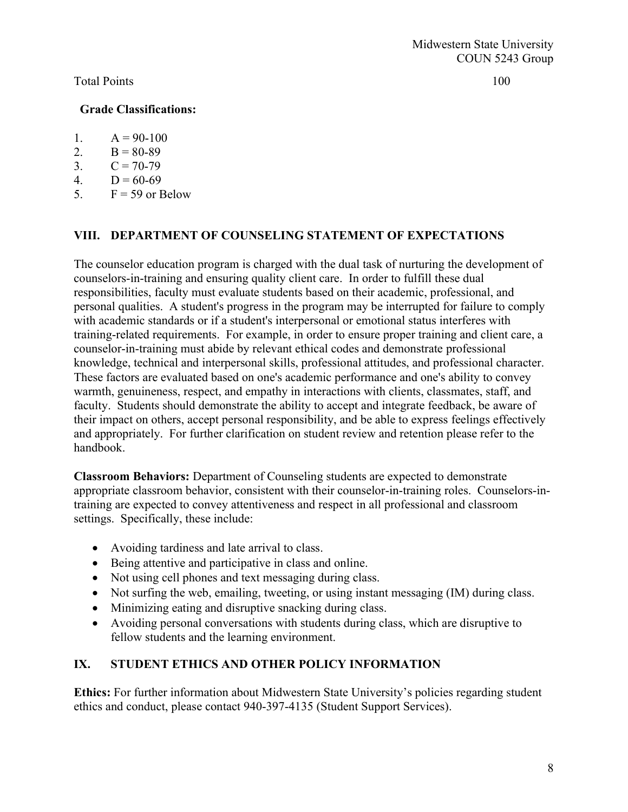#### Total Points 100

### Grade Classifications:

- 1.  $A = 90-100$
- 2.  $B = 80-89$
- 3.  $C = 70-79$
- 4.  $D = 60-69$
- 5.  $F = 59$  or Below

### VIII. DEPARTMENT OF COUNSELING STATEMENT OF EXPECTATIONS

The counselor education program is charged with the dual task of nurturing the development of counselors-in-training and ensuring quality client care. In order to fulfill these dual responsibilities, faculty must evaluate students based on their academic, professional, and personal qualities. A student's progress in the program may be interrupted for failure to comply with academic standards or if a student's interpersonal or emotional status interferes with training-related requirements. For example, in order to ensure proper training and client care, a counselor-in-training must abide by relevant ethical codes and demonstrate professional knowledge, technical and interpersonal skills, professional attitudes, and professional character. These factors are evaluated based on one's academic performance and one's ability to convey warmth, genuineness, respect, and empathy in interactions with clients, classmates, staff, and faculty. Students should demonstrate the ability to accept and integrate feedback, be aware of their impact on others, accept personal responsibility, and be able to express feelings effectively and appropriately. For further clarification on student review and retention please refer to the handbook.

Classroom Behaviors: Department of Counseling students are expected to demonstrate appropriate classroom behavior, consistent with their counselor-in-training roles. Counselors-intraining are expected to convey attentiveness and respect in all professional and classroom settings. Specifically, these include:

- Avoiding tardiness and late arrival to class.
- Being attentive and participative in class and online.
- Not using cell phones and text messaging during class.
- Not surfing the web, emailing, tweeting, or using instant messaging (IM) during class.
- Minimizing eating and disruptive snacking during class.
- Avoiding personal conversations with students during class, which are disruptive to fellow students and the learning environment.

# IX. STUDENT ETHICS AND OTHER POLICY INFORMATION

Ethics: For further information about Midwestern State University's policies regarding student ethics and conduct, please contact 940-397-4135 (Student Support Services).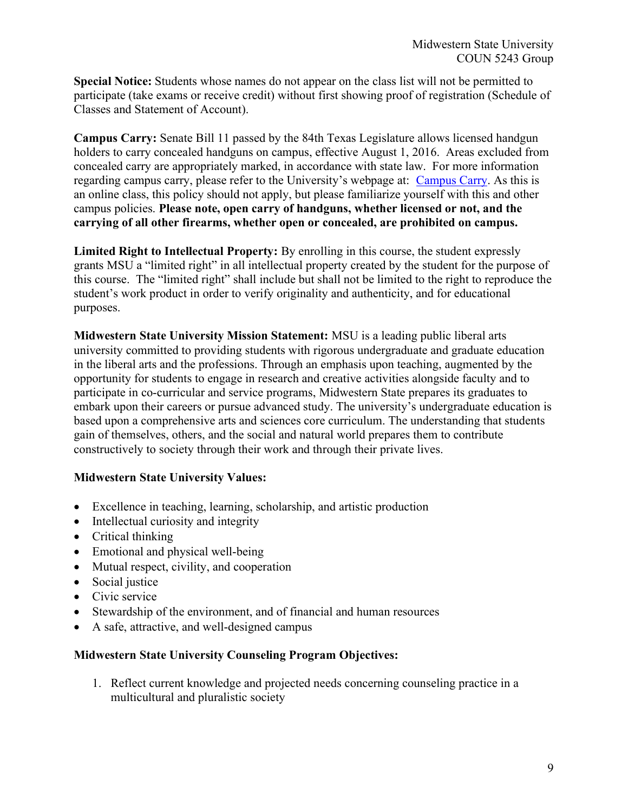Special Notice: Students whose names do not appear on the class list will not be permitted to participate (take exams or receive credit) without first showing proof of registration (Schedule of Classes and Statement of Account).

Campus Carry: Senate Bill 11 passed by the 84th Texas Legislature allows licensed handgun holders to carry concealed handguns on campus, effective August 1, 2016. Areas excluded from concealed carry are appropriately marked, in accordance with state law. For more information regarding campus carry, please refer to the University's webpage at: Campus Carry. As this is an online class, this policy should not apply, but please familiarize yourself with this and other campus policies. Please note, open carry of handguns, whether licensed or not, and the carrying of all other firearms, whether open or concealed, are prohibited on campus.

Limited Right to Intellectual Property: By enrolling in this course, the student expressly grants MSU a "limited right" in all intellectual property created by the student for the purpose of this course. The "limited right" shall include but shall not be limited to the right to reproduce the student's work product in order to verify originality and authenticity, and for educational purposes.

Midwestern State University Mission Statement: MSU is a leading public liberal arts university committed to providing students with rigorous undergraduate and graduate education in the liberal arts and the professions. Through an emphasis upon teaching, augmented by the opportunity for students to engage in research and creative activities alongside faculty and to participate in co-curricular and service programs, Midwestern State prepares its graduates to embark upon their careers or pursue advanced study. The university's undergraduate education is based upon a comprehensive arts and sciences core curriculum. The understanding that students gain of themselves, others, and the social and natural world prepares them to contribute constructively to society through their work and through their private lives.

### Midwestern State University Values:

- Excellence in teaching, learning, scholarship, and artistic production
- Intellectual curiosity and integrity
- Critical thinking
- Emotional and physical well-being
- Mutual respect, civility, and cooperation
- Social justice
- Civic service
- Stewardship of the environment, and of financial and human resources
- A safe, attractive, and well-designed campus

### Midwestern State University Counseling Program Objectives:

1. Reflect current knowledge and projected needs concerning counseling practice in a multicultural and pluralistic society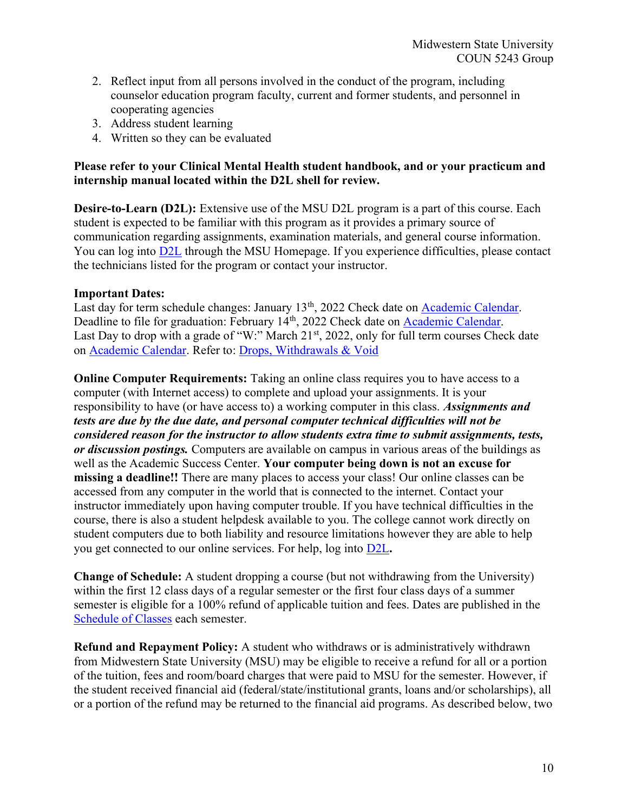- 2. Reflect input from all persons involved in the conduct of the program, including counselor education program faculty, current and former students, and personnel in cooperating agencies
- 3. Address student learning
- 4. Written so they can be evaluated

#### Please refer to your Clinical Mental Health student handbook, and or your practicum and internship manual located within the D2L shell for review.

Desire-to-Learn (D2L): Extensive use of the MSU D2L program is a part of this course. Each student is expected to be familiar with this program as it provides a primary source of communication regarding assignments, examination materials, and general course information. You can log into D2L through the MSU Homepage. If you experience difficulties, please contact the technicians listed for the program or contact your instructor.

#### Important Dates:

Last day for term schedule changes: January 13<sup>th</sup>, 2022 Check date on **Academic Calendar**. Deadline to file for graduation: February 14<sup>th</sup>, 2022 Check date on Academic Calendar. Last Day to drop with a grade of "W:" March 21<sup>st</sup>, 2022, only for full term courses Check date on Academic Calendar. Refer to: Drops, Withdrawals & Void

Online Computer Requirements: Taking an online class requires you to have access to a computer (with Internet access) to complete and upload your assignments. It is your responsibility to have (or have access to) a working computer in this class. Assignments and tests are due by the due date, and personal computer technical difficulties will not be considered reason for the instructor to allow students extra time to submit assignments, tests, or discussion postings. Computers are available on campus in various areas of the buildings as well as the Academic Success Center. Your computer being down is not an excuse for missing a deadline!! There are many places to access your class! Our online classes can be accessed from any computer in the world that is connected to the internet. Contact your instructor immediately upon having computer trouble. If you have technical difficulties in the course, there is also a student helpdesk available to you. The college cannot work directly on student computers due to both liability and resource limitations however they are able to help you get connected to our online services. For help, log into D2L.

Change of Schedule: A student dropping a course (but not withdrawing from the University) within the first 12 class days of a regular semester or the first four class days of a summer semester is eligible for a 100% refund of applicable tuition and fees. Dates are published in the Schedule of Classes each semester.

Refund and Repayment Policy: A student who withdraws or is administratively withdrawn from Midwestern State University (MSU) may be eligible to receive a refund for all or a portion of the tuition, fees and room/board charges that were paid to MSU for the semester. However, if the student received financial aid (federal/state/institutional grants, loans and/or scholarships), all or a portion of the refund may be returned to the financial aid programs. As described below, two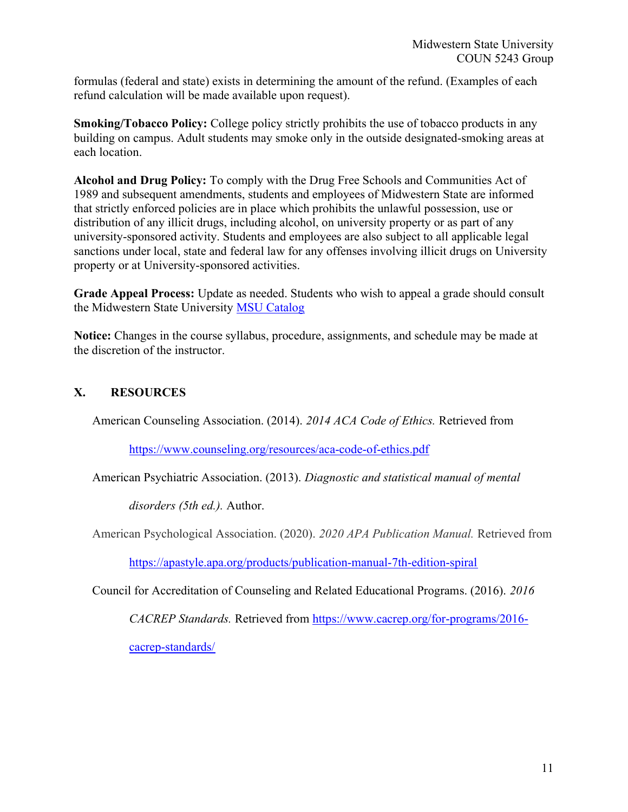formulas (federal and state) exists in determining the amount of the refund. (Examples of each refund calculation will be made available upon request).

Smoking/Tobacco Policy: College policy strictly prohibits the use of tobacco products in any building on campus. Adult students may smoke only in the outside designated-smoking areas at each location.

Alcohol and Drug Policy: To comply with the Drug Free Schools and Communities Act of 1989 and subsequent amendments, students and employees of Midwestern State are informed that strictly enforced policies are in place which prohibits the unlawful possession, use or distribution of any illicit drugs, including alcohol, on university property or as part of any university-sponsored activity. Students and employees are also subject to all applicable legal sanctions under local, state and federal law for any offenses involving illicit drugs on University property or at University-sponsored activities.

Grade Appeal Process: Update as needed. Students who wish to appeal a grade should consult the Midwestern State University MSU Catalog

Notice: Changes in the course syllabus, procedure, assignments, and schedule may be made at the discretion of the instructor.

# X. RESOURCES

American Counseling Association. (2014). 2014 ACA Code of Ethics. Retrieved from

https://www.counseling.org/resources/aca-code-of-ethics.pdf

American Psychiatric Association. (2013). Diagnostic and statistical manual of mental

disorders (5th ed.). Author.

American Psychological Association. (2020). 2020 APA Publication Manual. Retrieved from

https://apastyle.apa.org/products/publication-manual-7th-edition-spiral

Council for Accreditation of Counseling and Related Educational Programs. (2016). 2016

CACREP Standards. Retrieved from https://www.cacrep.org/for-programs/2016-

cacrep-standards/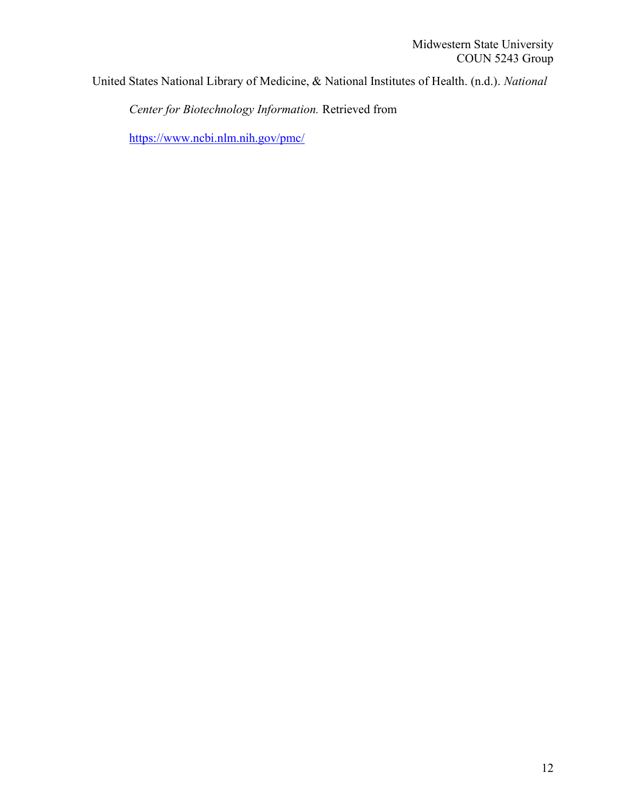United States National Library of Medicine, & National Institutes of Health. (n.d.). National

Center for Biotechnology Information. Retrieved from

https://www.ncbi.nlm.nih.gov/pmc/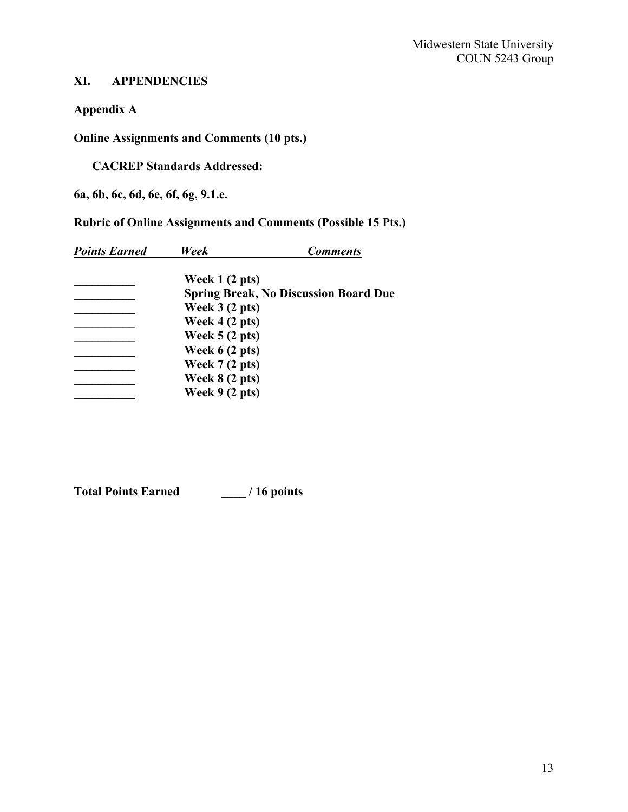# XI. APPENDENCIES

Appendix A

Online Assignments and Comments (10 pts.)

CACREP Standards Addressed:

6a, 6b, 6c, 6d, 6e, 6f, 6g, 9.1.e.

Rubric of Online Assignments and Comments (Possible 15 Pts.)

| <b>Points Earned</b> | Week                    | <b>Comments</b>                              |
|----------------------|-------------------------|----------------------------------------------|
|                      | Week $1(2 \text{ pts})$ |                                              |
|                      |                         | <b>Spring Break, No Discussion Board Due</b> |
|                      | Week $3(2 \text{ pts})$ |                                              |
|                      | Week $4(2 \text{ pts})$ |                                              |
|                      | Week $5(2 \text{ pts})$ |                                              |
|                      | Week 6 (2 pts)          |                                              |
|                      | Week $7(2 \text{ pts})$ |                                              |
|                      | Week $8(2 \text{ pts})$ |                                              |
|                      | Week $9(2 \text{ pts})$ |                                              |

Total Points Earned \_\_\_\_ / 16 points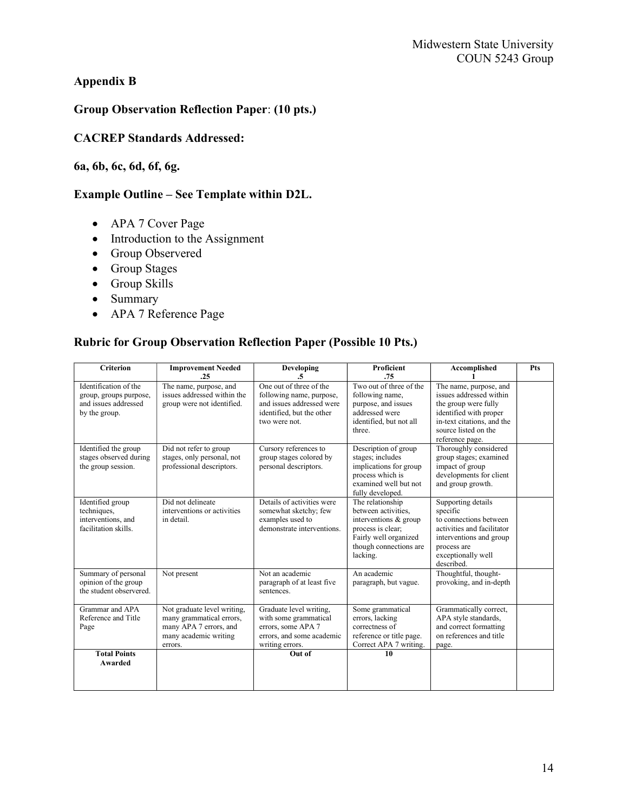# Appendix B

# Group Observation Reflection Paper: (10 pts.)

### CACREP Standards Addressed:

### 6a, 6b, 6c, 6d, 6f, 6g.

# Example Outline – See Template within D2L.

- APA 7 Cover Page
- Introduction to the Assignment
- Group Observered
- Group Stages
- Group Skills
- Summary
- APA 7 Reference Page

### Rubric for Group Observation Reflection Paper (Possible 10 Pts.)

| <b>Criterion</b>                                                                         | <b>Improvement Needed</b><br>.25                                                                                      | Developing<br>.5                                                                                                               | <b>Proficient</b><br>.75                                                                                                                             | Accomplished                                                                                                                                                                 | Pts |
|------------------------------------------------------------------------------------------|-----------------------------------------------------------------------------------------------------------------------|--------------------------------------------------------------------------------------------------------------------------------|------------------------------------------------------------------------------------------------------------------------------------------------------|------------------------------------------------------------------------------------------------------------------------------------------------------------------------------|-----|
| Identification of the<br>group, groups purpose,<br>and issues addressed<br>by the group. | The name, purpose, and<br>issues addressed within the<br>group were not identified.                                   | One out of three of the<br>following name, purpose,<br>and issues addressed were<br>identified, but the other<br>two were not. | Two out of three of the<br>following name,<br>purpose, and issues<br>addressed were<br>identified, but not all<br>three.                             | The name, purpose, and<br>issues addressed within<br>the group were fully<br>identified with proper<br>in-text citations, and the<br>source listed on the<br>reference page. |     |
| Identified the group<br>stages observed during<br>the group session.                     | Did not refer to group<br>stages, only personal, not<br>professional descriptors.                                     | Cursory references to<br>group stages colored by<br>personal descriptors.                                                      | Description of group<br>stages; includes<br>implications for group<br>process which is<br>examined well but not<br>fully developed.                  | Thoroughly considered<br>group stages; examined<br>impact of group<br>developments for client<br>and group growth.                                                           |     |
| Identified group<br>techniques,<br>interventions, and<br>facilitation skills.            | Did not delineate<br>interventions or activities<br>in detail.                                                        | Details of activities were<br>somewhat sketchy; few<br>examples used to<br>demonstrate interventions.                          | The relationship<br>between activities.<br>interventions & group<br>process is clear:<br>Fairly well organized<br>though connections are<br>lacking. | Supporting details<br>specific<br>to connections between<br>activities and facilitator<br>interventions and group<br>process are<br>exceptionally well<br>described.         |     |
| Summary of personal<br>opinion of the group<br>the student observered.                   | Not present                                                                                                           | Not an academic<br>paragraph of at least five<br>sentences.                                                                    | An academic<br>paragraph, but vague.                                                                                                                 | Thoughtful, thought-<br>provoking, and in-depth                                                                                                                              |     |
| Grammar and APA<br>Reference and Title<br>Page                                           | Not graduate level writing,<br>many grammatical errors,<br>many APA 7 errors, and<br>many academic writing<br>errors. | Graduate level writing,<br>with some grammatical<br>errors, some APA 7<br>errors, and some academic<br>writing errors.         | Some grammatical<br>errors, lacking<br>correctness of<br>reference or title page.<br>Correct APA 7 writing.                                          | Grammatically correct,<br>APA style standards,<br>and correct formatting<br>on references and title<br>page.                                                                 |     |
| <b>Total Points</b><br>Awarded                                                           |                                                                                                                       | Out of                                                                                                                         | 10                                                                                                                                                   |                                                                                                                                                                              |     |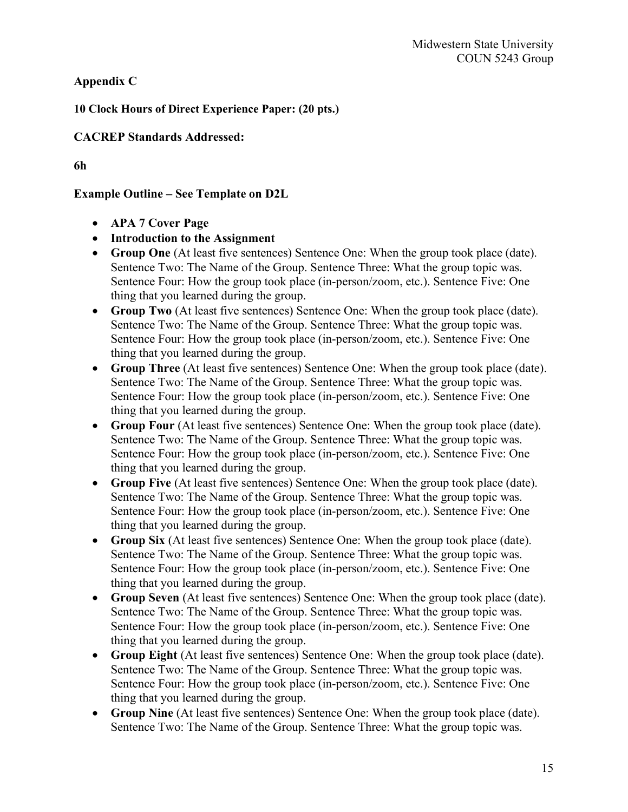Appendix C

10 Clock Hours of Direct Experience Paper: (20 pts.)

CACREP Standards Addressed:

6h

# Example Outline – See Template on D2L

- APA 7 Cover Page
- Introduction to the Assignment
- Group One (At least five sentences) Sentence One: When the group took place (date). Sentence Two: The Name of the Group. Sentence Three: What the group topic was. Sentence Four: How the group took place (in-person/zoom, etc.). Sentence Five: One thing that you learned during the group.
- Group Two (At least five sentences) Sentence One: When the group took place (date). Sentence Two: The Name of the Group. Sentence Three: What the group topic was. Sentence Four: How the group took place (in-person/zoom, etc.). Sentence Five: One thing that you learned during the group.
- Group Three (At least five sentences) Sentence One: When the group took place (date). Sentence Two: The Name of the Group. Sentence Three: What the group topic was. Sentence Four: How the group took place (in-person/zoom, etc.). Sentence Five: One thing that you learned during the group.
- Group Four (At least five sentences) Sentence One: When the group took place (date). Sentence Two: The Name of the Group. Sentence Three: What the group topic was. Sentence Four: How the group took place (in-person/zoom, etc.). Sentence Five: One thing that you learned during the group.
- Group Five (At least five sentences) Sentence One: When the group took place (date). Sentence Two: The Name of the Group. Sentence Three: What the group topic was. Sentence Four: How the group took place (in-person/zoom, etc.). Sentence Five: One thing that you learned during the group.
- Group Six (At least five sentences) Sentence One: When the group took place (date). Sentence Two: The Name of the Group. Sentence Three: What the group topic was. Sentence Four: How the group took place (in-person/zoom, etc.). Sentence Five: One thing that you learned during the group.
- Group Seven (At least five sentences) Sentence One: When the group took place (date). Sentence Two: The Name of the Group. Sentence Three: What the group topic was. Sentence Four: How the group took place (in-person/zoom, etc.). Sentence Five: One thing that you learned during the group.
- Group Eight (At least five sentences) Sentence One: When the group took place (date). Sentence Two: The Name of the Group. Sentence Three: What the group topic was. Sentence Four: How the group took place (in-person/zoom, etc.). Sentence Five: One thing that you learned during the group.
- Group Nine (At least five sentences) Sentence One: When the group took place (date). Sentence Two: The Name of the Group. Sentence Three: What the group topic was.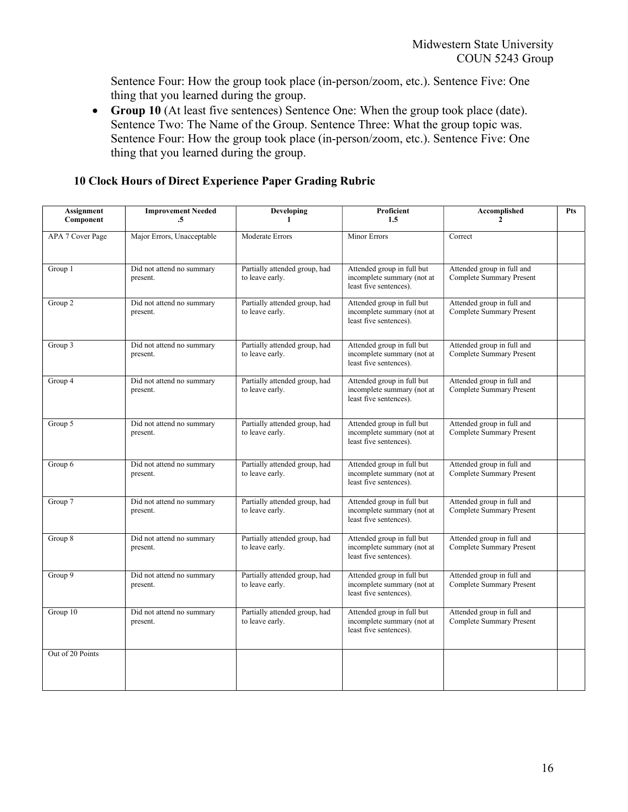Sentence Four: How the group took place (in-person/zoom, etc.). Sentence Five: One thing that you learned during the group.

 Group 10 (At least five sentences) Sentence One: When the group took place (date). Sentence Two: The Name of the Group. Sentence Three: What the group topic was. Sentence Four: How the group took place (in-person/zoom, etc.). Sentence Five: One thing that you learned during the group.

| <b>Assignment</b><br>Component | <b>Improvement Needed</b><br>$\cdot$ 5 | <b>Developing</b><br>1                           | Proficient<br>1.5                                                                  | Accomplished                                                  | Pts |
|--------------------------------|----------------------------------------|--------------------------------------------------|------------------------------------------------------------------------------------|---------------------------------------------------------------|-----|
| APA 7 Cover Page               | Major Errors, Unacceptable             | Moderate Errors                                  | Minor Errors                                                                       | Correct                                                       |     |
| Group 1                        | Did not attend no summary<br>present.  | Partially attended group, had<br>to leave early. | Attended group in full but<br>incomplete summary (not at<br>least five sentences). | Attended group in full and<br>Complete Summary Present        |     |
| Group 2                        | Did not attend no summary<br>present.  | Partially attended group, had<br>to leave early. | Attended group in full but<br>incomplete summary (not at<br>least five sentences). | Attended group in full and<br><b>Complete Summary Present</b> |     |
| Group 3                        | Did not attend no summary<br>present.  | Partially attended group, had<br>to leave early. | Attended group in full but<br>incomplete summary (not at<br>least five sentences). | Attended group in full and<br>Complete Summary Present        |     |
| Group 4                        | Did not attend no summary<br>present.  | Partially attended group, had<br>to leave early. | Attended group in full but<br>incomplete summary (not at<br>least five sentences). | Attended group in full and<br>Complete Summary Present        |     |
| Group 5                        | Did not attend no summary<br>present.  | Partially attended group, had<br>to leave early. | Attended group in full but<br>incomplete summary (not at<br>least five sentences). | Attended group in full and<br>Complete Summary Present        |     |
| Group 6                        | Did not attend no summary<br>present.  | Partially attended group, had<br>to leave early. | Attended group in full but<br>incomplete summary (not at<br>least five sentences). | Attended group in full and<br><b>Complete Summary Present</b> |     |
| Group 7                        | Did not attend no summary<br>present.  | Partially attended group, had<br>to leave early. | Attended group in full but<br>incomplete summary (not at<br>least five sentences). | Attended group in full and<br><b>Complete Summary Present</b> |     |
| Group 8                        | Did not attend no summary<br>present.  | Partially attended group, had<br>to leave early. | Attended group in full but<br>incomplete summary (not at<br>least five sentences). | Attended group in full and<br><b>Complete Summary Present</b> |     |
| Group 9                        | Did not attend no summary<br>present.  | Partially attended group, had<br>to leave early. | Attended group in full but<br>incomplete summary (not at<br>least five sentences). | Attended group in full and<br>Complete Summary Present        |     |
| Group 10                       | Did not attend no summary<br>present.  | Partially attended group, had<br>to leave early. | Attended group in full but<br>incomplete summary (not at<br>least five sentences). | Attended group in full and<br>Complete Summary Present        |     |
| Out of 20 Points               |                                        |                                                  |                                                                                    |                                                               |     |

# 10 Clock Hours of Direct Experience Paper Grading Rubric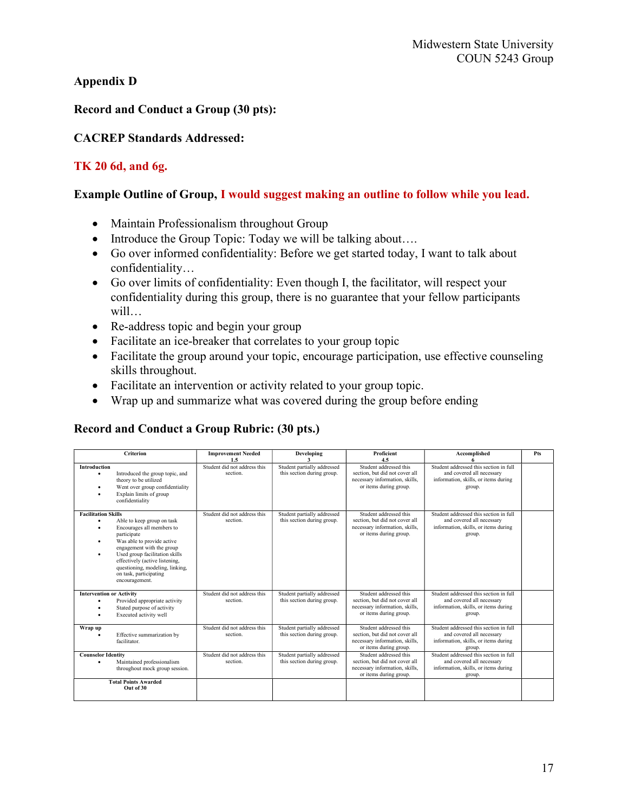### Appendix D

### Record and Conduct a Group (30 pts):

### CACREP Standards Addressed:

### TK 20 6d, and 6g.

#### Example Outline of Group, I would suggest making an outline to follow while you lead.

- Maintain Professionalism throughout Group
- Introduce the Group Topic: Today we will be talking about....
- Go over informed confidentiality: Before we get started today, I want to talk about confidentiality…
- Go over limits of confidentiality: Even though I, the facilitator, will respect your confidentiality during this group, there is no guarantee that your fellow participants will…
- Re-address topic and begin your group
- Facilitate an ice-breaker that correlates to your group topic
- Facilitate the group around your topic, encourage participation, use effective counseling skills throughout.
- Facilitate an intervention or activity related to your group topic.
- Wrap up and summarize what was covered during the group before ending

### Record and Conduct a Group Rubric: (30 pts.)

| Criterion                                                                                                                                                                                                                                                                                                          | <b>Improvement Needed</b><br>1.5         | Developing                                                | <b>Proficient</b><br>4.5                                                                                             | Accomplished                                                                                                          | Pts |
|--------------------------------------------------------------------------------------------------------------------------------------------------------------------------------------------------------------------------------------------------------------------------------------------------------------------|------------------------------------------|-----------------------------------------------------------|----------------------------------------------------------------------------------------------------------------------|-----------------------------------------------------------------------------------------------------------------------|-----|
| <b>Introduction</b><br>Introduced the group topic, and<br>theory to be utilized<br>Went over group confidentiality<br>Explain limits of group<br>confidentiality                                                                                                                                                   | Student did not address this<br>section. | Student partially addressed<br>this section during group. | Student addressed this<br>section, but did not cover all<br>necessary information, skills,<br>or items during group. | Student addressed this section in full<br>and covered all necessary<br>information, skills, or items during<br>group. |     |
| <b>Facilitation Skills</b><br>Able to keep group on task<br>Encourages all members to<br>participate<br>Was able to provide active<br>engagement with the group<br>Used group facilitation skills<br>effectively (active listening,<br>questioning, modeling, linking,<br>on task, participating<br>encouragement. | Student did not address this<br>section. | Student partially addressed<br>this section during group. | Student addressed this<br>section, but did not cover all<br>necessary information, skills,<br>or items during group. | Student addressed this section in full<br>and covered all necessary<br>information, skills, or items during<br>group. |     |
| <b>Intervention or Activity</b><br>Provided appropriate activity<br>Stated purpose of activity<br>Executed activity well                                                                                                                                                                                           | Student did not address this<br>section. | Student partially addressed<br>this section during group. | Student addressed this<br>section, but did not cover all<br>necessary information, skills,<br>or items during group. | Student addressed this section in full<br>and covered all necessary<br>information, skills, or items during<br>group. |     |
| Wrap up<br>Effective summarization by<br>facilitator.                                                                                                                                                                                                                                                              | Student did not address this<br>section. | Student partially addressed<br>this section during group. | Student addressed this<br>section, but did not cover all<br>necessary information, skills,<br>or items during group. | Student addressed this section in full<br>and covered all necessary<br>information, skills, or items during<br>group. |     |
| <b>Counselor Identity</b><br>Maintained professionalism<br>throughout mock group session.                                                                                                                                                                                                                          | Student did not address this<br>section. | Student partially addressed<br>this section during group. | Student addressed this<br>section, but did not cover all<br>necessary information, skills,<br>or items during group. | Student addressed this section in full<br>and covered all necessary<br>information, skills, or items during<br>group. |     |
| <b>Total Points Awarded</b><br>Out of 30                                                                                                                                                                                                                                                                           |                                          |                                                           |                                                                                                                      |                                                                                                                       |     |